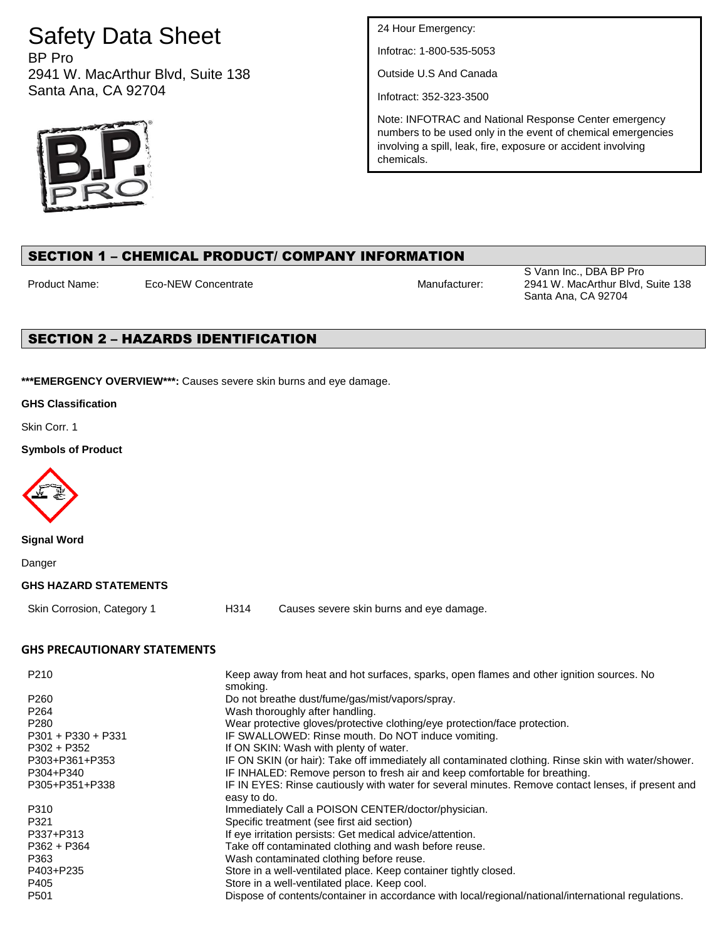# Safety Data Sheet

BP Pro 2941 W. MacArthur Blvd, Suite 138 Santa Ana, CA 92704



24 Hour Emergency:

Infotrac: 1-800-535-5053

Outside U.S And Canada

Infotract: 352-323-3500

Note: INFOTRAC and National Response Center emergency numbers to be used only in the event of chemical emergencies involving a spill, leak, fire, exposure or accident involving chemicals.

## SECTION 1 – CHEMICAL PRODUCT/ COMPANY INFORMATION

Product Name: Eco-NEW Concentrate **Manufacturer:** Manufacturer:

S Vann Inc., DBA BP Pro 2941 W. MacArthur Blvd, Suite 138 Santa Ana, CA 92704

## SECTION 2 – HAZARDS IDENTIFICATION

**\*\*\*EMERGENCY OVERVIEW\*\*\*:** Causes severe skin burns and eye damage.

**GHS Classification**

Skin Corr. 1

**Symbols of Product**



**Signal Word**

Danger

#### **GHS HAZARD STATEMENTS**

Skin Corrosion, Category 1 H314 Causes severe skin burns and eye damage.

## **GHS PRECAUTIONARY STATEMENTS**

| P210                 | Keep away from heat and hot surfaces, sparks, open flames and other ignition sources. No<br>smoking. |
|----------------------|------------------------------------------------------------------------------------------------------|
| P <sub>260</sub>     | Do not breathe dust/fume/gas/mist/vapors/spray.                                                      |
| P <sub>264</sub>     | Wash thoroughly after handling.                                                                      |
| P <sub>280</sub>     | Wear protective gloves/protective clothing/eye protection/face protection.                           |
| $P301 + P330 + P331$ | IF SWALLOWED: Rinse mouth. Do NOT induce vomiting.                                                   |
| $P302 + P352$        | If ON SKIN: Wash with plenty of water.                                                               |
| P303+P361+P353       | IF ON SKIN (or hair): Take off immediately all contaminated clothing. Rinse skin with water/shower.  |
| P304+P340            | IF INHALED: Remove person to fresh air and keep comfortable for breathing.                           |
| P305+P351+P338       | IF IN EYES: Rinse cautiously with water for several minutes. Remove contact lenses, if present and   |
|                      | easy to do.                                                                                          |
| P310                 | Immediately Call a POISON CENTER/doctor/physician.                                                   |
| P321                 | Specific treatment (see first aid section)                                                           |
| P337+P313            | If eye irritation persists: Get medical advice/attention.                                            |
| $P362 + P364$        | Take off contaminated clothing and wash before reuse.                                                |
| P363                 | Wash contaminated clothing before reuse.                                                             |
| P403+P235            | Store in a well-ventilated place. Keep container tightly closed.                                     |
| P405                 | Store in a well-ventilated place. Keep cool.                                                         |
| P <sub>501</sub>     | Dispose of contents/container in accordance with local/regional/national/international regulations.  |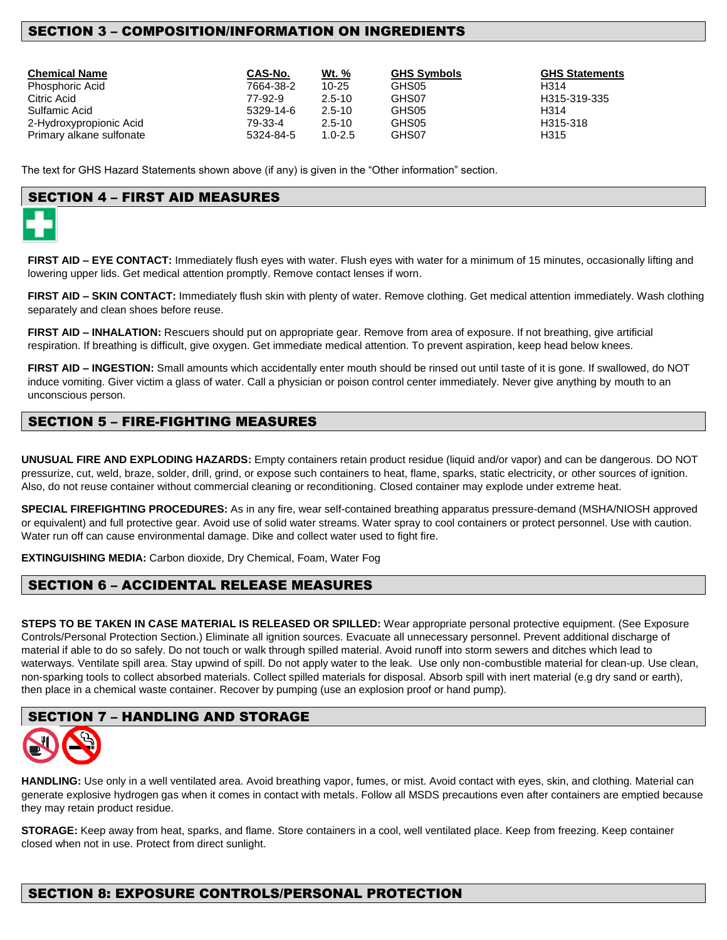## SECTION 3 – COMPOSITION/INFORMATION ON INGREDIENTS

| <b>Chemical Name</b>     | CAS-No.   | Wt. %       | <b>GHS Symbols</b> | <b>GHS Statements</b> |
|--------------------------|-----------|-------------|--------------------|-----------------------|
| <b>Phosphoric Acid</b>   | 7664-38-2 | $10 - 25$   | GHS05              | H314                  |
| Citric Acid              | 77-92-9   | $2.5 - 10$  | GHS07              | H315-319-335          |
| Sulfamic Acid            | 5329-14-6 | $2.5 - 10$  | GHS05              | H314                  |
| 2-Hydroxypropionic Acid  | 79-33-4   | $2.5 - 10$  | GHS05              | H315-318              |
| Primary alkane sulfonate | 5324-84-5 | $1.0 - 2.5$ | GHS07              | H315                  |

The text for GHS Hazard Statements shown above (if any) is given in the "Other information" section.

## SECTION 4 – FIRST AID MEASURES



**FIRST AID – EYE CONTACT:** Immediately flush eyes with water. Flush eyes with water for a minimum of 15 minutes, occasionally lifting and lowering upper lids. Get medical attention promptly. Remove contact lenses if worn.

**FIRST AID – SKIN CONTACT:** Immediately flush skin with plenty of water. Remove clothing. Get medical attention immediately. Wash clothing separately and clean shoes before reuse.

**FIRST AID – INHALATION:** Rescuers should put on appropriate gear. Remove from area of exposure. If not breathing, give artificial respiration. If breathing is difficult, give oxygen. Get immediate medical attention. To prevent aspiration, keep head below knees.

**FIRST AID – INGESTION:** Small amounts which accidentally enter mouth should be rinsed out until taste of it is gone. If swallowed, do NOT induce vomiting. Giver victim a glass of water. Call a physician or poison control center immediately. Never give anything by mouth to an unconscious person.

## SECTION 5 – FIRE-FIGHTING MEASURES

**UNUSUAL FIRE AND EXPLODING HAZARDS:** Empty containers retain product residue (liquid and/or vapor) and can be dangerous. DO NOT pressurize, cut, weld, braze, solder, drill, grind, or expose such containers to heat, flame, sparks, static electricity, or other sources of ignition. Also, do not reuse container without commercial cleaning or reconditioning. Closed container may explode under extreme heat.

**SPECIAL FIREFIGHTING PROCEDURES:** As in any fire, wear self-contained breathing apparatus pressure-demand (MSHA/NIOSH approved or equivalent) and full protective gear. Avoid use of solid water streams. Water spray to cool containers or protect personnel. Use with caution. Water run off can cause environmental damage. Dike and collect water used to fight fire.

**EXTINGUISHING MEDIA:** Carbon dioxide, Dry Chemical, Foam, Water Fog

## SECTION 6 – ACCIDENTAL RELEASE MEASURES

**STEPS TO BE TAKEN IN CASE MATERIAL IS RELEASED OR SPILLED:** Wear appropriate personal protective equipment. (See Exposure Controls/Personal Protection Section.) Eliminate all ignition sources. Evacuate all unnecessary personnel. Prevent additional discharge of material if able to do so safely. Do not touch or walk through spilled material. Avoid runoff into storm sewers and ditches which lead to waterways. Ventilate spill area. Stay upwind of spill. Do not apply water to the leak. Use only non-combustible material for clean-up. Use clean, non-sparking tools to collect absorbed materials. Collect spilled materials for disposal. Absorb spill with inert material (e.g dry sand or earth), then place in a chemical waste container. Recover by pumping (use an explosion proof or hand pump).

## SECTION 7 – HANDLING AND STORAGE



**HANDLING:** Use only in a well ventilated area. Avoid breathing vapor, fumes, or mist. Avoid contact with eyes, skin, and clothing. Material can generate explosive hydrogen gas when it comes in contact with metals. Follow all MSDS precautions even after containers are emptied because they may retain product residue.

**STORAGE:** Keep away from heat, sparks, and flame. Store containers in a cool, well ventilated place. Keep from freezing. Keep container closed when not in use. Protect from direct sunlight.

## SECTION 8: EXPOSURE CONTROLS/PERSONAL PROTECTION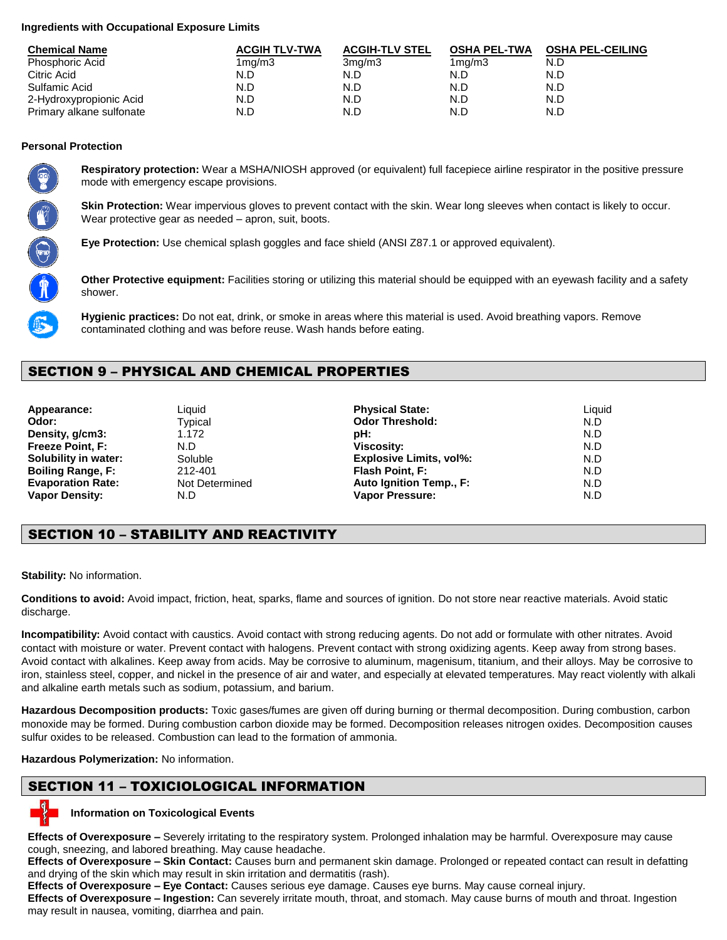### **Ingredients with Occupational Exposure Limits**

| <b>Chemical Name</b>     | <b>ACGIH TLV-TWA</b> | <b>ACGIH-TLV STEL</b> | <b>OSHA PEL-TWA</b> | <b>OSHA PEL-CEILING</b> |
|--------------------------|----------------------|-----------------------|---------------------|-------------------------|
| Phosphoric Acid          | 1 <sub>mq</sub> /m3  | 3 <sub>mq</sub> /m3   | 1 <sub>mq</sub> /m3 | N.D                     |
| Citric Acid              | N.D                  | N.D                   | N.D                 | N.D                     |
| Sulfamic Acid            | N.D                  | N.D                   | N.D                 | N.D                     |
| 2-Hydroxypropionic Acid  | N.D                  | N.D                   | N.D                 | N.D                     |
| Primary alkane sulfonate | N.D                  | N.D                   | N.D                 | N.D                     |

### **Personal Protection**



**Respiratory protection:** Wear a MSHA/NIOSH approved (or equivalent) full facepiece airline respirator in the positive pressure mode with emergency escape provisions.

**Skin Protection:** Wear impervious gloves to prevent contact with the skin. Wear long sleeves when contact is likely to occur. Wear protective gear as needed – apron, suit, boots.

**Eye Protection:** Use chemical splash goggles and face shield (ANSI Z87.1 or approved equivalent).

**Other Protective equipment:** Facilities storing or utilizing this material should be equipped with an eyewash facility and a safety shower.



**Hygienic practices:** Do not eat, drink, or smoke in areas where this material is used. Avoid breathing vapors. Remove contaminated clothing and was before reuse. Wash hands before eating.

## SECTION 9 – PHYSICAL AND CHEMICAL PROPERTIES

| Appearance:              | Liquid         | <b>Physical State:</b>         | Liguid |
|--------------------------|----------------|--------------------------------|--------|
| Odor:                    | Tvpical        | <b>Odor Threshold:</b>         | N.D    |
| Density, g/cm3:          | 1.172          | pH:                            | N.D    |
| <b>Freeze Point, F:</b>  | N.D            | <b>Viscosity:</b>              | N.D    |
| Solubility in water:     | Soluble        | <b>Explosive Limits, vol%:</b> | N.D    |
| <b>Boiling Range, F:</b> | 212-401        | Flash Point, F:                | N.D    |
| <b>Evaporation Rate:</b> | Not Determined | Auto Ignition Temp., F:        | N.D    |
| <b>Vapor Density:</b>    | N.D            | <b>Vapor Pressure:</b>         | N.D    |

## SECTION 10 – STABILITY AND REACTIVITY

**Stability:** No information.

**Conditions to avoid:** Avoid impact, friction, heat, sparks, flame and sources of ignition. Do not store near reactive materials. Avoid static discharge.

**Incompatibility:** Avoid contact with caustics. Avoid contact with strong reducing agents. Do not add or formulate with other nitrates. Avoid contact with moisture or water. Prevent contact with halogens. Prevent contact with strong oxidizing agents. Keep away from strong bases. Avoid contact with alkalines. Keep away from acids. May be corrosive to aluminum, magenisum, titanium, and their alloys. May be corrosive to iron, stainless steel, copper, and nickel in the presence of air and water, and especially at elevated temperatures. May react violently with alkali and alkaline earth metals such as sodium, potassium, and barium.

**Hazardous Decomposition products:** Toxic gases/fumes are given off during burning or thermal decomposition. During combustion, carbon monoxide may be formed. During combustion carbon dioxide may be formed. Decomposition releases nitrogen oxides. Decomposition causes sulfur oxides to be released. Combustion can lead to the formation of ammonia.

**Hazardous Polymerization:** No information.

## SECTION 11 – TOXICIOLOGICAL INFORMATION

## **Information on Toxicological Events**

**Effects of Overexposure –** Severely irritating to the respiratory system. Prolonged inhalation may be harmful. Overexposure may cause cough, sneezing, and labored breathing. May cause headache.

**Effects of Overexposure – Skin Contact:** Causes burn and permanent skin damage. Prolonged or repeated contact can result in defatting and drying of the skin which may result in skin irritation and dermatitis (rash).

**Effects of Overexposure – Eye Contact:** Causes serious eye damage. Causes eye burns. May cause corneal injury.

**Effects of Overexposure – Ingestion:** Can severely irritate mouth, throat, and stomach. May cause burns of mouth and throat. Ingestion may result in nausea, vomiting, diarrhea and pain.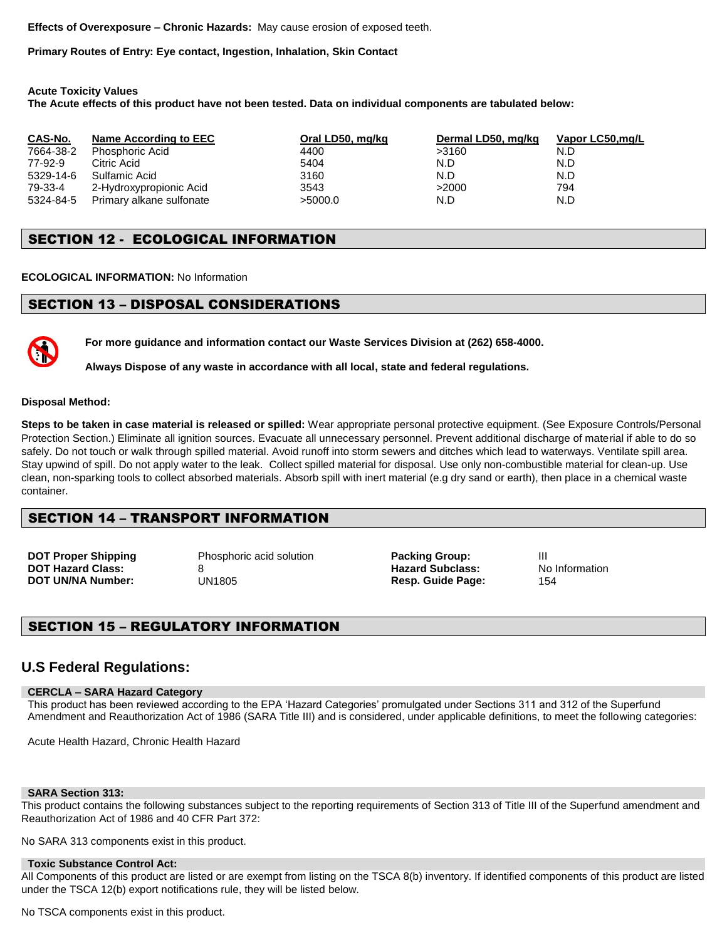**Effects of Overexposure – Chronic Hazards:** May cause erosion of exposed teeth.

**Primary Routes of Entry: Eye contact, Ingestion, Inhalation, Skin Contact**

**Acute Toxicity Values**

**The Acute effects of this product have not been tested. Data on individual components are tabulated below:** 

| CAS-No.   | Name According to EEC    | Oral LD50, mg/kg | Dermal LD50, mg/kg | Vapor LC50,mg/L |
|-----------|--------------------------|------------------|--------------------|-----------------|
| 7664-38-2 | Phosphoric Acid          | 4400             | >3160              | N.D             |
| 77-92-9   | Citric Acid              | 5404             | N.D                | N.D             |
| 5329-14-6 | Sulfamic Acid            | 3160             | N.D                | N.D             |
| 79-33-4   | 2-Hydroxypropionic Acid  | 3543             | >2000              | 794             |
| 5324-84-5 | Primary alkane sulfonate | >5000.0          | N.D                | N.D             |

## SECTION 12 - ECOLOGICAL INFORMATION

**ECOLOGICAL INFORMATION:** No Information

## SECTION 13 – DISPOSAL CONSIDERATIONS

**For more guidance and information contact our Waste Services Division at (262) 658-4000.**

**Always Dispose of any waste in accordance with all local, state and federal regulations.** 

#### **Disposal Method:**

**Steps to be taken in case material is released or spilled:** Wear appropriate personal protective equipment. (See Exposure Controls/Personal Protection Section.) Eliminate all ignition sources. Evacuate all unnecessary personnel. Prevent additional discharge of material if able to do so safely. Do not touch or walk through spilled material. Avoid runoff into storm sewers and ditches which lead to waterways. Ventilate spill area. Stay upwind of spill. Do not apply water to the leak. Collect spilled material for disposal. Use only non-combustible material for clean-up. Use clean, non-sparking tools to collect absorbed materials. Absorb spill with inert material (e.g dry sand or earth), then place in a chemical waste container.

## SECTION 14 – TRANSPORT INFORMATION

**DOT Proper Shipping** Phosphoric acid solution **Packing Group:** III **DOT Hazard Class:** 8 **By All 2018 CONTENSIST AND INCLUSIVE PARAMENT AT A POST UNITED STATES AND INFORMATION CONTENSIST ASSAULT PARAMENT ASSOCIATES AND INFORMATION CONTENSIST ASSAULT ASSAULT PARAMENT ASSAULT ASSAULT ASSAUL** 

**Resp. Guide Page:** 

## SECTION 15 – REGULATORY INFORMATION

## **U.S Federal Regulations:**

#### **CERCLA – SARA Hazard Category**

This product has been reviewed according to the EPA 'Hazard Categories' promulgated under Sections 311 and 312 of the Superfund Amendment and Reauthorization Act of 1986 (SARA Title III) and is considered, under applicable definitions, to meet the following categories:

Acute Health Hazard, Chronic Health Hazard

#### **SARA Section 313:**

This product contains the following substances subject to the reporting requirements of Section 313 of Title III of the Superfund amendment and Reauthorization Act of 1986 and 40 CFR Part 372:

No SARA 313 components exist in this product.

#### **Toxic Substance Control Act:**

All Components of this product are listed or are exempt from listing on the TSCA 8(b) inventory. If identified components of this product are listed under the TSCA 12(b) export notifications rule, they will be listed below.

No TSCA components exist in this product.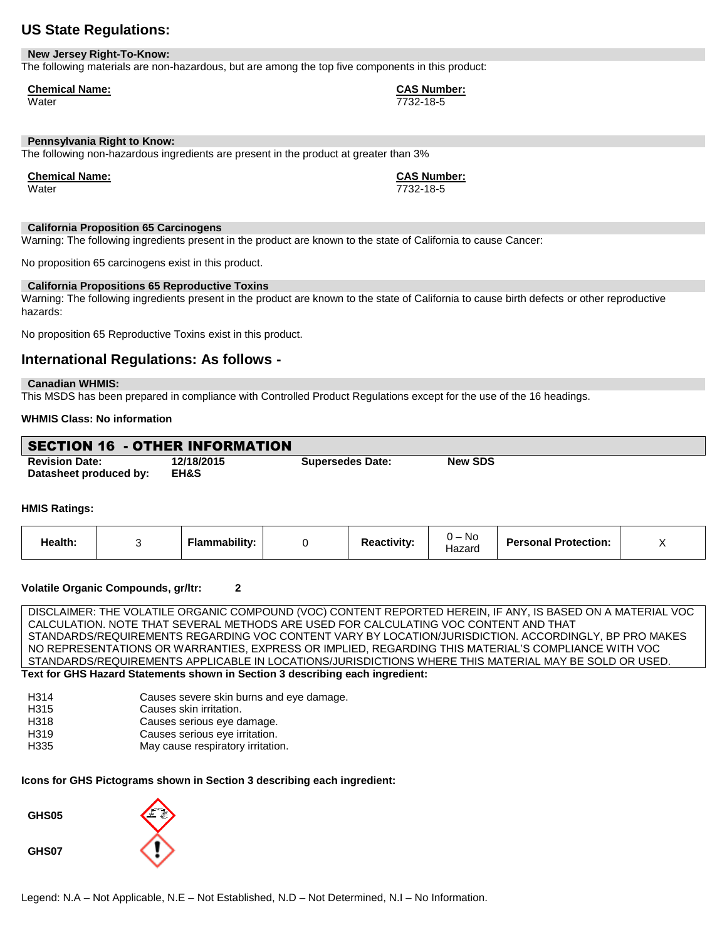## **US State Regulations:**

#### **New Jersey Right-To-Know:**

The following materials are non-hazardous, but are among the top five components in this product:

#### **Chemical Name: CAS Number:**

Water 7732-18-5

### **Pennsylvania Right to Know:**

The following non-hazardous ingredients are present in the product at greater than 3%

**Chemical Name: CAS Number:**

Water 7732-18-5

#### **California Proposition 65 Carcinogens**

Warning: The following ingredients present in the product are known to the state of California to cause Cancer:

No proposition 65 carcinogens exist in this product.

#### **California Propositions 65 Reproductive Toxins**

Warning: The following ingredients present in the product are known to the state of California to cause birth defects or other reproductive hazards:

No proposition 65 Reproductive Toxins exist in this product.

## **International Regulations: As follows -**

#### **Canadian WHMIS:**

This MSDS has been prepared in compliance with Controlled Product Regulations except for the use of the 16 headings.

#### **WHMIS Class: No information**

| <b>SECTION 16 - OTHER INFORMATION</b> |            |                         |                |
|---------------------------------------|------------|-------------------------|----------------|
| <b>Revision Date:</b>                 | 12/18/2015 | <b>Supersedes Date:</b> | <b>New SDS</b> |
| Datasheet produced by:                | EH&S       |                         |                |

#### **HMIS Ratings:**

| Health: |  | .<br>-lammabilitv: |  | Reactivitv: | No.<br>$\cdot$ . $-$<br>Hazard | <b>Personal Protection:</b> | $\cdot$ |
|---------|--|--------------------|--|-------------|--------------------------------|-----------------------------|---------|
|---------|--|--------------------|--|-------------|--------------------------------|-----------------------------|---------|

#### **Volatile Organic Compounds, gr/ltr: 2**

DISCLAIMER: THE VOLATILE ORGANIC COMPOUND (VOC) CONTENT REPORTED HEREIN, IF ANY, IS BASED ON A MATERIAL VOC CALCULATION. NOTE THAT SEVERAL METHODS ARE USED FOR CALCULATING VOC CONTENT AND THAT STANDARDS/REQUIREMENTS REGARDING VOC CONTENT VARY BY LOCATION/JURISDICTION. ACCORDINGLY, BP PRO MAKES NO REPRESENTATIONS OR WARRANTIES, EXPRESS OR IMPLIED, REGARDING THIS MATERIAL'S COMPLIANCE WITH VOC STANDARDS/REQUIREMENTS APPLICABLE IN LOCATIONS/JURISDICTIONS WHERE THIS MATERIAL MAY BE SOLD OR USED. **Text for GHS Hazard Statements shown in Section 3 describing each ingredient:**

| H314 | Causes severe skin burns and eye damage. |
|------|------------------------------------------|
| H315 | Causes skin irritation.                  |
| H318 | Causes serious eye damage.               |
| H319 | Causes serious eye irritation.           |
| H335 | May cause respiratory irritation.        |

#### **Icons for GHS Pictograms shown in Section 3 describing each ingredient:**

**GHS05**

**GHS07**